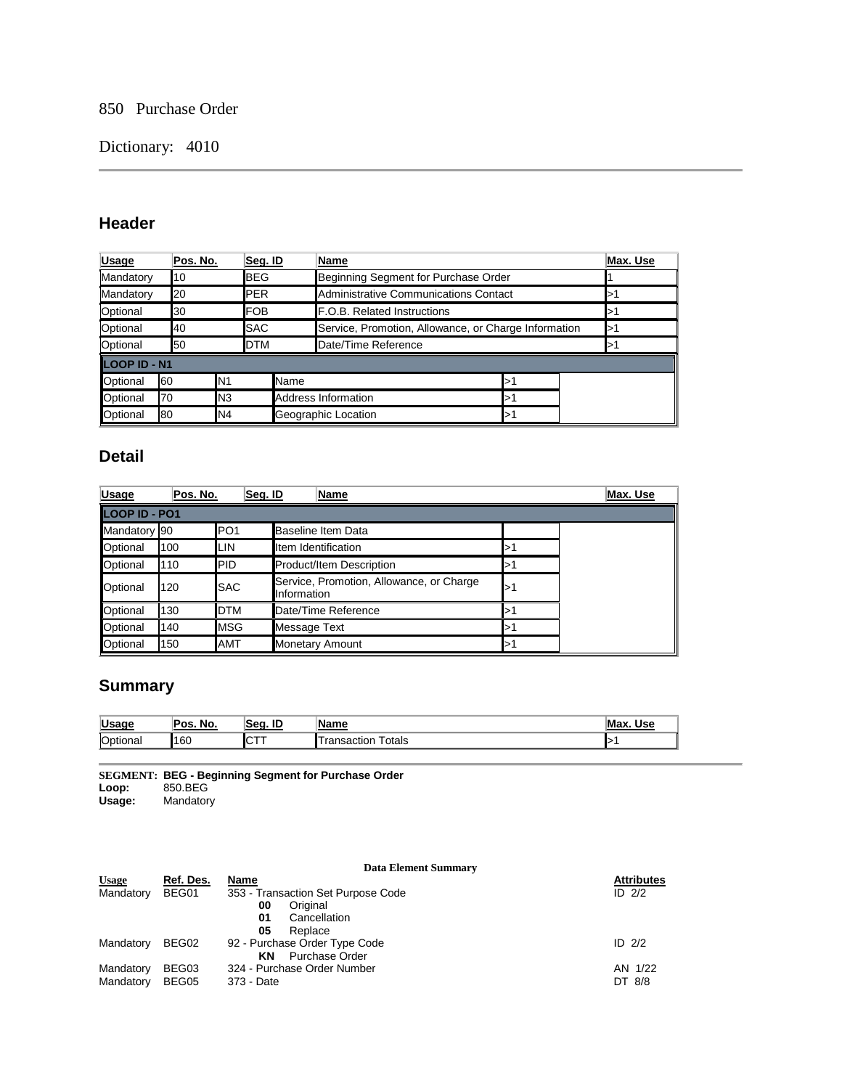# 850 Purchase Order

# Dictionary: 4010

# **Header**

| <b>Usage</b>        | Pos. No. |                | Seg. ID     | Name                |                                                      |   |  | Max. Use |
|---------------------|----------|----------------|-------------|---------------------|------------------------------------------------------|---|--|----------|
| Mandatory           | 10       |                | <b>IBEG</b> |                     | Beginning Segment for Purchase Order                 |   |  |          |
| Mandatory           | 20       | <b>IPER</b>    |             |                     | Administrative Communications Contact                |   |  |          |
| Optional            | 30       |                | <b>IFOB</b> |                     | <b>F.O.B. Related Instructions</b>                   |   |  |          |
| Optional            | 40       |                | <b>SAC</b>  |                     | Service, Promotion, Allowance, or Charge Information |   |  |          |
| Optional            | 50       |                | <b>DTM</b>  | Date/Time Reference |                                                      |   |  |          |
| <b>LOOP ID - N1</b> |          |                |             |                     |                                                      |   |  |          |
| Optional            | 60       | N <sub>1</sub> |             | Name                |                                                      | ⊳ |  |          |
| Optional            | 70       | N3             |             | Address Information |                                                      | ⊳ |  |          |
| Optional            | 80       | N4             |             | Geographic Location |                                                      | ⊳ |  |          |

### **Detail**

| <b>Usage</b>  | Pos. No. | Seg. ID          | Name                                                    |   | Max. Use |
|---------------|----------|------------------|---------------------------------------------------------|---|----------|
| LOOP ID - PO1 |          |                  |                                                         |   |          |
| Mandatory 90  |          | IPO <sub>1</sub> | Baseline Item Data                                      |   |          |
| Optional      | 100      | <b>ILIN</b>      | Item Identification                                     | ⊳ |          |
| Optional      | 110      | <b>PID</b>       | <b>Product/Item Description</b>                         |   |          |
| Optional      | 120      | <b>SAC</b>       | Service, Promotion, Allowance, or Charge<br>Information | ⊳ |          |
| Optional      | 130      | <b>DTM</b>       | Date/Time Reference                                     | ⊳ |          |
| Optional      | 140      | <b>IMSG</b>      | Message Text                                            |   |          |
| Optional      | 150      | <b>AMT</b>       | <b>Monetary Amount</b>                                  |   |          |

# **Summary**

| <b>Usage</b> | No.<br>Pos. | ID<br>Sea.   | Name                               | Max.<br>Use |
|--------------|-------------|--------------|------------------------------------|-------------|
| Optional     | 160         | .<br>∣∪<br>. | ⊺otals<br>nsactior<br>$\mathbf{d}$ | "           |

**SEGMENT: BEG - Beginning Segment for Purchase Order Loop:** 850.BEG

**Usage:** Mandatory

|              |           | <b>Data Element Summary</b>        |                   |
|--------------|-----------|------------------------------------|-------------------|
| <b>Usage</b> | Ref. Des. | Name                               | <b>Attributes</b> |
| Mandatory    | BEG01     | 353 - Transaction Set Purpose Code | ID $2/2$          |
|              |           | Original<br>00                     |                   |
|              |           | Cancellation<br>01                 |                   |
|              |           | 05<br>Replace                      |                   |
| Mandatory    | BEG02     | 92 - Purchase Order Type Code      | ID $2/2$          |
|              |           | Purchase Order<br>ΚN               |                   |
| Mandatory    | BEG03     | 324 - Purchase Order Number        | AN 1/22           |
| Mandatory    | BEG05     | 373 - Date                         | DT 8/8            |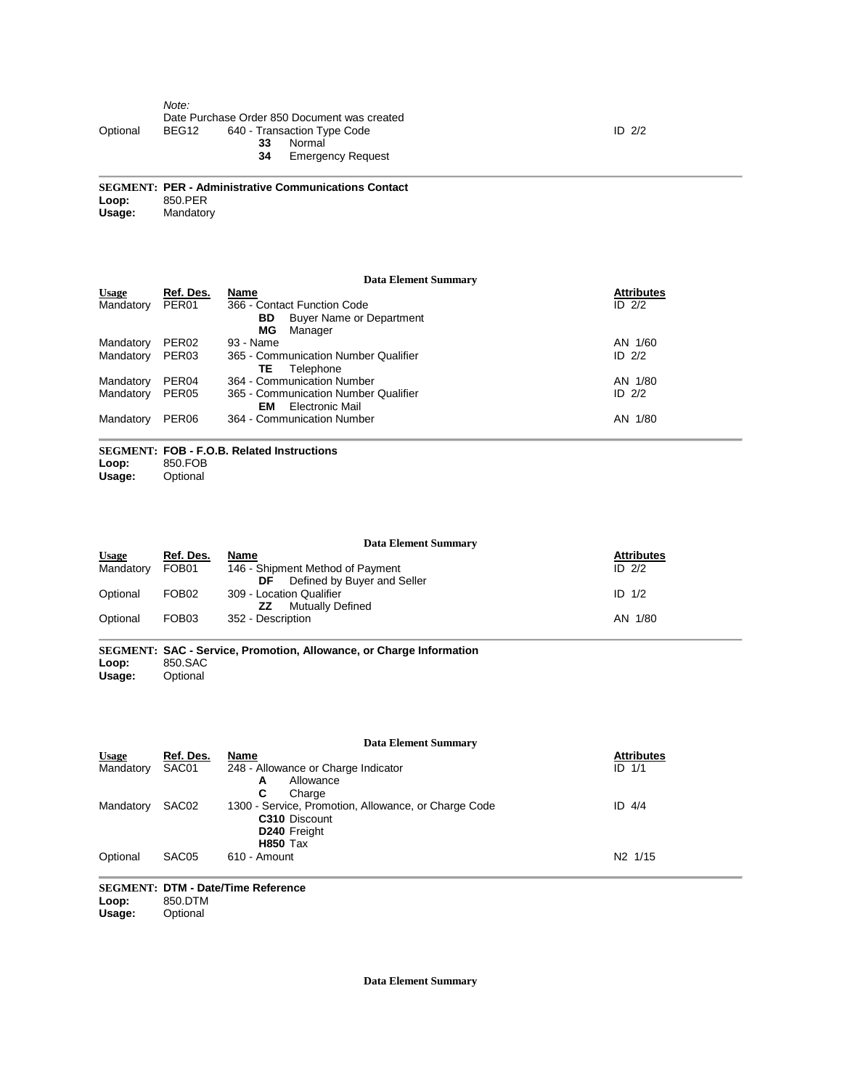#### *Note:* Date Purchase Order 850 Document was created<br>BEG12 640 - Transaction Type Code Optional BEG12 640 - Transaction Type Code **33** Normal **34** Emergency Request

**SEGMENT: PER - Administrative Communications Contact** Loop: 850.PER<br>Usage: Mandator **Mandatory** 

### **Data Element Summary**

| <b>Usage</b> | Ref. Des.         | Name                                 | <b>Attributes</b> |
|--------------|-------------------|--------------------------------------|-------------------|
| Mandatory    | PER <sub>01</sub> | 366 - Contact Function Code          | ID $2/2$          |
|              |                   | Buyer Name or Department<br>BD.      |                   |
|              |                   | МG<br>Manager                        |                   |
| Mandatory    | PER <sub>02</sub> | 93 - Name                            | AN 1/60           |
| Mandatory    | PER <sub>03</sub> | 365 - Communication Number Qualifier | ID $2/2$          |
|              |                   | Telephone<br>TΕ                      |                   |
| Mandatory    | PER <sub>04</sub> | 364 - Communication Number           | AN 1/80           |
| Mandatory    | PER <sub>05</sub> | 365 - Communication Number Qualifier | ID $2/2$          |
|              |                   | Electronic Mail<br>EM                |                   |
| Mandatory    | PER <sub>06</sub> | 364 - Communication Number           | AN 1/80           |
|              |                   |                                      |                   |

### **SEGMENT: FOB - F.O.B. Related Instructions**

Loop: 850.FOB<br>Usage: Optional **Optional** 

**Data Element Summary Usage Ref. Des. Name Attributes** Usage Ref. Des. Name<br>Mandatory FOB01 146 - Shipment Method of Payment<br>DF Defined by Buyer and S Defined by Buyer and Seller Attributes<br>ID 2/2 Optional FOB02 309 - Location Qualifier<br>ZZ Mutually De **Mutually Defined** ID 1/2 Optional FOB03 352 - Description **AN 1/80** 2012 12:00 12:00 12:00 12:00 12:00 12:00 12:00 12:00 12:00 12:00 12:00 12:00 12:00 12:00 12:00 12:00 12:00 12:00 12:00 12:00 12:00 12:00 12:00 12:00 12:00 12:00 12:00 12:00 12:00

**SEGMENT: SAC - Service, Promotion, Allowance, or Charge Information** Loop: 850.SAC<br>Usage: Optional **Optional** 

|              | <b>Data Element Summary</b> |                                                      |                     |  |  |  |  |
|--------------|-----------------------------|------------------------------------------------------|---------------------|--|--|--|--|
| <b>Usage</b> | Ref. Des.                   | Name                                                 | <b>Attributes</b>   |  |  |  |  |
| Mandatory    | SAC01                       | 248 - Allowance or Charge Indicator                  | $ID$ $1/1$          |  |  |  |  |
|              |                             | Allowance<br>А                                       |                     |  |  |  |  |
|              |                             | C<br>Charge                                          |                     |  |  |  |  |
| Mandatory    | SAC <sub>02</sub>           | 1300 - Service, Promotion, Allowance, or Charge Code | $ID$ 4/4            |  |  |  |  |
|              |                             | C310 Discount                                        |                     |  |  |  |  |
|              |                             | D240 Freight                                         |                     |  |  |  |  |
|              |                             | <b>H850</b> Tax                                      |                     |  |  |  |  |
| Optional     | SAC <sub>05</sub>           | 610 - Amount                                         | N <sub>2</sub> 1/15 |  |  |  |  |

# **SEGMENT: DTM - Date/Time Reference**

Loop: 850.DTM<br>Usage: Optional

**Optional** 

**Data Element Summary**

ID 2/2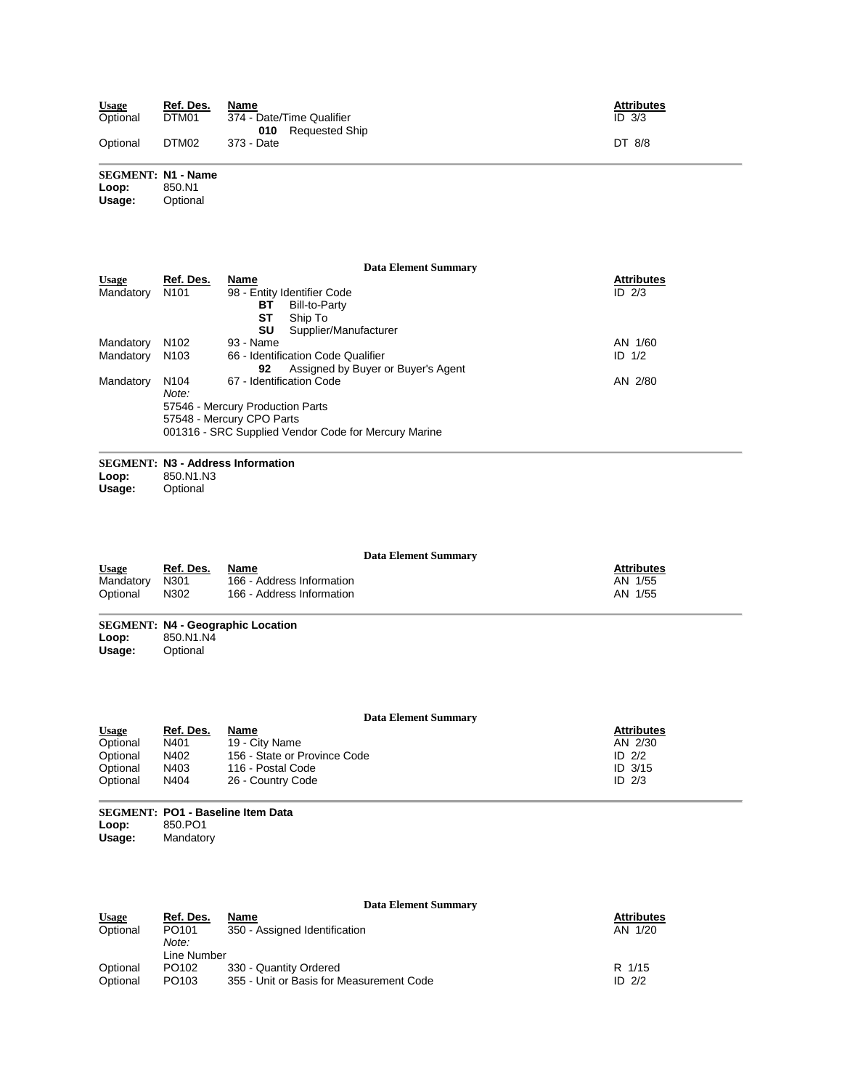| <b>Usage</b> | Ref. Des. | Name                                                   | <b>Attributes</b> |
|--------------|-----------|--------------------------------------------------------|-------------------|
| Optional     | DTM01     | 374 - Date/Time Qualifier<br><b>010</b> Requested Ship | $ID$ $3/3$        |
| Optional     | DTM02     | 373 - Date                                             | DT 8/8            |

# **SEGMENT: N1 - Name**

Loop:<br>Usage: **Optional** 

|              |                  | Data Element Summary                                 |                   |
|--------------|------------------|------------------------------------------------------|-------------------|
| <b>Usage</b> | Ref. Des.        | <b>Name</b>                                          | <b>Attributes</b> |
| Mandatory    | N <sub>101</sub> | 98 - Entity Identifier Code                          | ID $2/3$          |
|              |                  | Bill-to-Party<br>вт                                  |                   |
|              |                  | SТ<br>Ship To                                        |                   |
|              |                  | SU<br>Supplier/Manufacturer                          |                   |
| Mandatory    | N <sub>102</sub> | 93 - Name                                            | AN 1/60           |
| Mandatory    | N <sub>103</sub> | 66 - Identification Code Qualifier                   | ID $1/2$          |
|              |                  | Assigned by Buyer or Buyer's Agent<br>92             |                   |
| Mandatory    | N <sub>104</sub> | 67 - Identification Code                             | AN 2/80           |
|              | Note:            |                                                      |                   |
|              |                  | 57546 - Mercury Production Parts                     |                   |
|              |                  | 57548 - Mercury CPO Parts                            |                   |
|              |                  | 001316 - SRC Supplied Vendor Code for Mercury Marine |                   |
|              |                  |                                                      |                   |

# **SEGMENT: N3 - Address Information**

**Loop:** 850.N1.N3

**Optional** 

### **Data Element Summary**

| <b>Usage</b>   | Ref. Des. | Name                      | <b>Attributes</b> |
|----------------|-----------|---------------------------|-------------------|
| Mandatory N301 |           | 166 - Address Information | AN 1/55           |
| Optional       | N302      | 166 - Address Information | AN 1/55           |

**SEGMENT: N4 - Geographic Location Loop:** 850.N1.N4 **Usage:** Optional

### **Data Element Summary**

| <b>Usage</b> | Ref. Des. | Name                         | <b>Attributes</b> |
|--------------|-----------|------------------------------|-------------------|
| Optional     | N401      | 19 - City Name               | AN 2/30           |
| Optional     | N402      | 156 - State or Province Code | ID $2/2$          |
| Optional     | N403      | 116 - Postal Code            | $ID$ 3/15         |
| Optional     | N404      | 26 - Country Code            | ID $2/3$          |

**SEGMENT: PO1 - Baseline Item Data Loop:** 850.PO1 **Usage:** Mandatory

|                          |                                                | <b>Data Element Summary</b>              |                              |
|--------------------------|------------------------------------------------|------------------------------------------|------------------------------|
| <b>Usage</b><br>Optional | <u>Ref. Des.</u><br>PO <sub>101</sub><br>Note: | Name<br>350 - Assigned Identification    | <b>Attributes</b><br>AN 1/20 |
|                          | Line Number                                    |                                          |                              |
| Optional                 | PO <sub>102</sub>                              | 330 - Quantity Ordered                   | R 1/15                       |
| Optional                 | PO <sub>103</sub>                              | 355 - Unit or Basis for Measurement Code | ID $2/2$                     |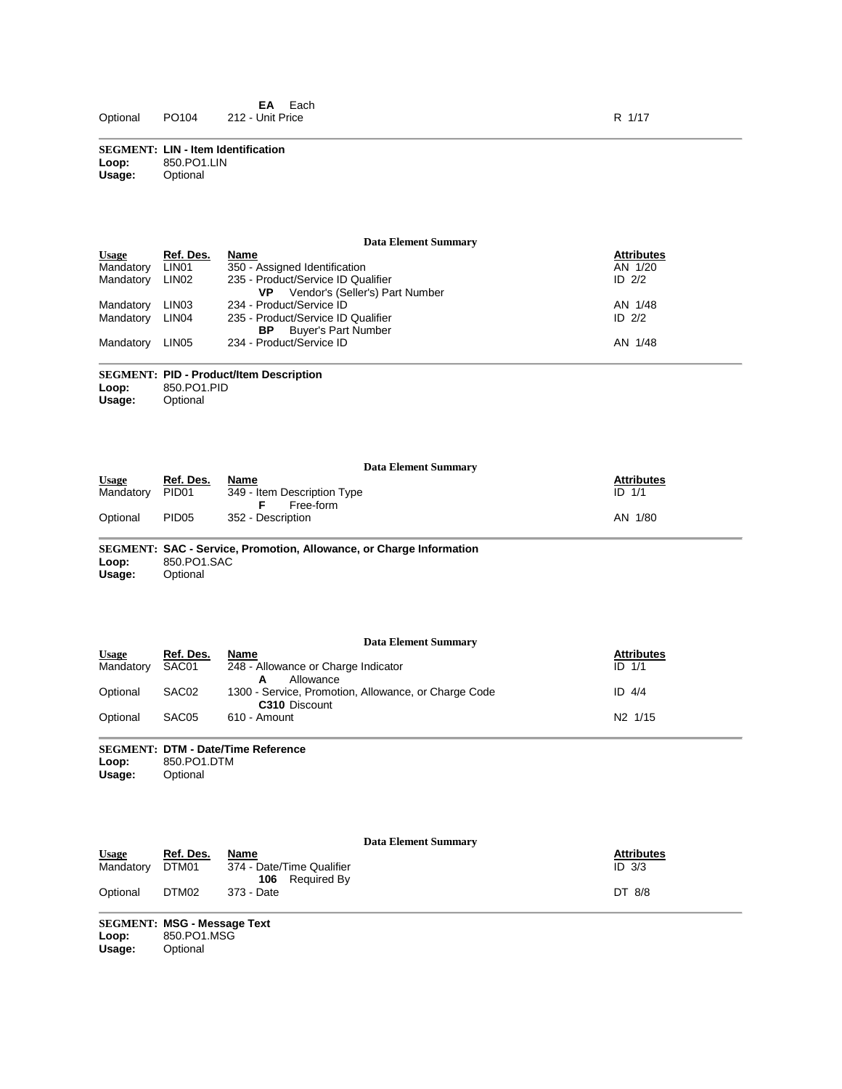**SEGMENT: LIN - Item Identification Loop:** 850.PO1.LIN<br>**Usage:** Optional **Usage:** Optional

### **Data Element Summary**

| <b>Attributes</b> |
|-------------------|
| AN 1/20           |
| ID $2/2$          |
|                   |
| AN 1/48           |
| ID $2/2$          |
|                   |
| AN 1/48           |
|                   |

### **SEGMENT: PID - Product/Item Description** Loop: 850.PO1.PID<br>Usage: Optional **Optional**

| <b>Data Element Summary</b> |                   |                                          |                   |  |  |  |  |
|-----------------------------|-------------------|------------------------------------------|-------------------|--|--|--|--|
| <b>Usage</b>                | Ref. Des.         | Name                                     | <b>Attributes</b> |  |  |  |  |
| Mandatory                   | PID <sub>01</sub> | 349 - Item Description Type<br>Free-form | $ID$ $1/1$        |  |  |  |  |
| Optional                    | PID <sub>05</sub> | 352 - Description                        | AN 1/80           |  |  |  |  |

**SEGMENT: SAC - Service, Promotion, Allowance, or Charge Information** Loop: 850.PO1.SAC<br>Usage: Optional **Optional** 

| Data Element Summary |                   |                                                                              |                     |  |  |  |  |
|----------------------|-------------------|------------------------------------------------------------------------------|---------------------|--|--|--|--|
| <b>Usage</b>         | Ref. Des.         | Name                                                                         | <b>Attributes</b>   |  |  |  |  |
| Mandatory            | SAC01             | 248 - Allowance or Charge Indicator<br>Allowance<br>А                        | $ID$ $1/1$          |  |  |  |  |
| Optional             | SAC <sub>02</sub> | 1300 - Service, Promotion, Allowance, or Charge Code<br><b>C310</b> Discount | ID $4/4$            |  |  |  |  |
| Optional             | SAC <sub>05</sub> | 610 - Amount                                                                 | N <sub>2</sub> 1/15 |  |  |  |  |

### **SEGMENT: DTM - Date/Time Reference** Loop: 850.PO1.DTM<br> **Usage:** Optional **Optional**

|              |           | <b>Data Element Summary</b>                     |                   |
|--------------|-----------|-------------------------------------------------|-------------------|
| <b>Usage</b> | Ref. Des. | Name                                            | <b>Attributes</b> |
| Mandatory    | DTM01     | 374 - Date/Time Qualifier<br>Required By<br>106 | $ID$ $3/3$        |
| Optional     | DTM02     | 373 - Date                                      | DT 8/8            |

**SEGMENT: MSG - Message Text** Loop: 850.PO1.MSG<br>Usage: Optional **Optional**